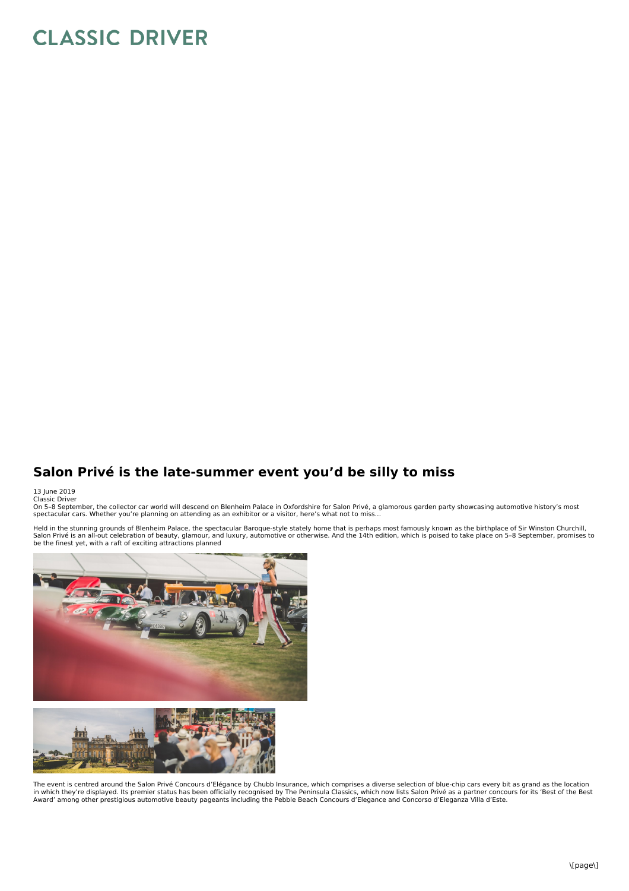## **CLASSIC DRIVER**

## **Salon Privé is the late-summer event you'd be silly to miss**

## 13 June 2019 Classic Driver

On 5-8 September, the collector car world will descend on Blenheim Palace in Oxfordshire for Salon Privé, a glamorous garden party showcasing automotive history's most<br>spectacular cars. Whether you're planning on attending

Held in the stunning grounds of Blenheim Palace, the spectacular Baroque-style stately home that is perhaps most famously known as the birthplace of Sir Winston Churchill,<br>Salon Privé is an all-out celebration of beauty, g



The event is centred around the Salon Privé Concours d'Elégance by Chubb Insurance, which comprises a diverse selection of blue-chip cars every bit as grand as the location in which they're displayed. Its premier status has been officially recognised by The Peninsula Classics, which now lists Salon Privé as a partner concours for its 'Best of the Best<br>Award' among other prestigious automotive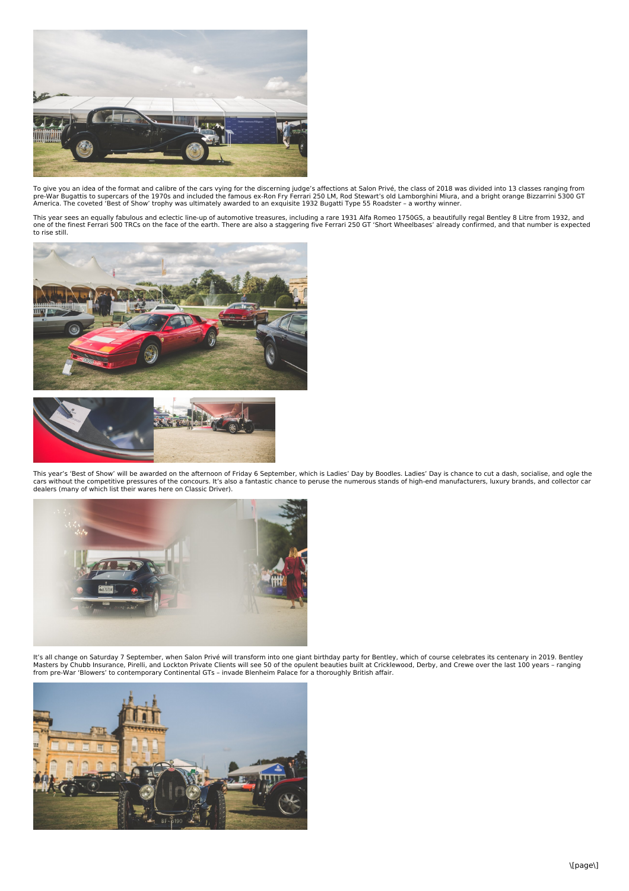

To give you an idea of the format and calibre of the cars vying for the discerning judge's affections at Salon Privé, the class of 2018 was divided into 13 classes ranging from<br>pre-War Bugattis to supercars of the 1970s an America. The coveted 'Best of Show' trophy was ultimately awarded to an exquisite 1932 Bugatti Type 55 Roadster – a worthy winner.

This year sees an equally fabulous and eclectic line-up of automotive treasures, including a rare 1931 Alfa Romeo 1750GS, a beautifully regal Bentley 8 Litre from 1932, and<br>one of the finest Ferrari 500 TRCs on the face of





This year's 'Best of Show' will be awarded on the afternoon of Friday 6 September, which is Ladies' Day by Boodles. Ladies' Day is chance to cut a dash, socialise, and ogle the<br>cars without the competitive pressures of the



It's all change on Saturday 7 September, when Salon Privé will transform into one giant birthday party for Bentley, which of course celebrates its centenary in 2019. Bentley<br>Masters by Chubb Insurance, Pirelli, and Lockton from pre-War 'Blowers' to contemporary Continental GTs – invade Blenheim Palace for a thoroughly British affair.